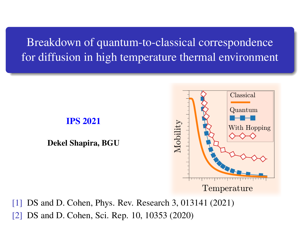Breakdown of quantum-to-classical correspondence for diffusion in high temperature thermal environment



[1] DS and D. Cohen, Phys. Rev. Research 3, 013141 (2021) [2] DS and D. Cohen, Sci. Rep. 10, 10353 (2020)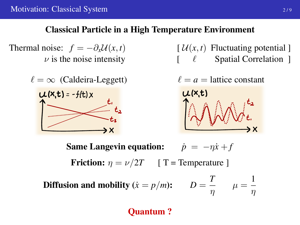### Classical Particle in a High Temperature Environment

Thermal noise:  $f = -\partial_x \mathcal{U}(x, t)$  [  $\mathcal{U}(x, t)$  Fluctuating potential ]

 $\ell = \infty$  (Caldeira-Leggett)  $\ell = a$  = lattice constant  $U(x,t) = -f(t)x$ ЭX

 $\nu$  is the noise intensity  $\left[ \begin{array}{ccc} \ell & \text{Spatial Correlation} \end{array} \right]$ 

$$
\bigotimes_{x}^{L} \bigotimes_{x}^{m} \bigotimes_{x}^{m} \bigotimes_{x}^{m}
$$

**Same Langevin equation:**  $\dot{p} = -n\dot{x} + f$ 

Friction:  $\eta = \nu/2T$  [ T = Temperature ]

Diffusion and mobility ( $\dot{x} = p/m$ ):  $D = \frac{T}{T}$  $\frac{T}{\eta}$   $\mu = \frac{1}{\eta}$ η

Quantum ?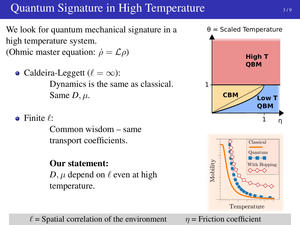# Quantum Signature in High Temperature

We look for quantum mechanical signature in a high temperature system. (Ohmic master equation:  $\dot{\rho} = \mathcal{L}\rho$ )

- Caldeira-Leggett ( $\ell = \infty$ ): Dynamics is the same as classical. Same  $D, \mu$ .
- $\bullet$  Finite  $\ell$ :

Common wisdom – same transport coefficients.

## Our statement:

*D*,  $\mu$  depend on  $\ell$  even at high temperature.

 $\ell$  = Spatial correlation of the environment  $\eta$  = Friction coefficient

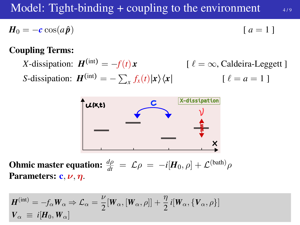## Model: Tight-binding  $+$  coupling to the environment  $4/9$

$$
H_0 = -c \cos(a\hat{p}) \qquad [a=1]
$$

#### Coupling Terms:

*X*-dissipation:  $H^{(int)} = -f(t)x$  [  $\ell = \infty$ , Caldeira-Leggett ] *S*-dissipation:  $\mathbf{H}^{(\text{int})} = -\sum_{x} f_x(t) |\mathbf{x}\rangle \langle \mathbf{x}|$  [  $\ell = a = 1$  ]



**Ohmic master equation:**  $\frac{d\rho}{dt} = \mathcal{L}\rho = -i[H_0, \rho] + \mathcal{L}^{(bath)}\rho$ Parameters:  $\mathbf{c}, \mathbf{\nu}, \mathbf{\eta}$ .

$$
\mathbf{H}^{(\text{int})} = -f_{\alpha} \mathbf{W}_{\alpha} \Rightarrow \mathcal{L}_{\alpha} = \frac{\nu}{2} [\mathbf{W}_{\alpha}, [\mathbf{W}_{\alpha}, \rho]] + \frac{\eta}{2} i [\mathbf{W}_{\alpha}, {\mathbf{V}_{\alpha}, \rho}]
$$
  

$$
\mathbf{V}_{\alpha} \equiv i [\mathbf{H}_0, \mathbf{W}_{\alpha}]
$$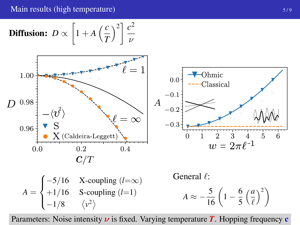Main results (high temperature)  $5/9$ 

**Diffusion:** 
$$
D \propto \left[1 + A\left(\frac{c}{T}\right)^2\right] \frac{c^2}{\nu}
$$



Parameters: Noise intensity  $\nu$  is fixed. Varying temperature  $\boldsymbol{T}$ . Hopping frequency c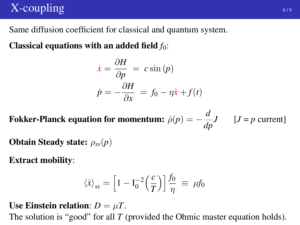# $X$ -coupling  $\overline{\phantom{a}}$   $\overline{\phantom{a}}$   $\overline{\phantom{a}}$   $\overline{\phantom{a}}$   $\overline{\phantom{a}}$   $\overline{\phantom{a}}$   $\overline{\phantom{a}}$   $\overline{\phantom{a}}$   $\overline{\phantom{a}}$   $\overline{\phantom{a}}$   $\overline{\phantom{a}}$   $\overline{\phantom{a}}$   $\overline{\phantom{a}}$   $\overline{\phantom{a}}$   $\overline{\phantom{a}}$   $\overline{\phantom{a}}$   $\overline{\phantom{a}}$   $\overline$

Same diffusion coefficient for classical and quantum system.

Classical equations with an added field  $f_0$ :

$$
\dot{x} = \frac{\partial H}{\partial p} = c \sin(p)
$$

$$
\dot{p} = -\frac{\partial H}{\partial x} = f_0 - \eta \dot{x} + f(t)
$$

Fokker-Planck equation for momentum:  $\dot{\rho}(p) = -\frac{d}{d\sigma}$  $\frac{d}{dp}J$  [*J* = *p* current]

Obtain Steady state: ρ*ss*(*p*)

Extract mobility:

$$
\langle \dot{x} \rangle_{ss} = \left[ 1 - \mathrm{I}_0^{-2} \left( \frac{c}{T} \right) \right] \frac{f_0}{\eta} \equiv \mu f_0
$$

Use Einstein relation:  $D = \mu T$ .

The solution is "good" for all *T* (provided the Ohmic master equation holds).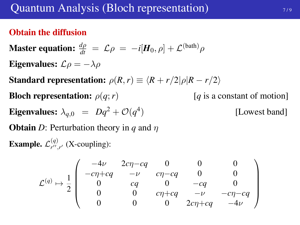## Obtain the diffusion

Master equation: 
$$
\frac{d\rho}{dt} = \mathcal{L}\rho = -i[H_0, \rho] + \mathcal{L}^{(bath)}\rho
$$
  
\nEigenvalues:  $\mathcal{L}\rho = -\lambda \rho$   
\nStandard representation:  $\rho(R, r) \equiv \langle R + r/2 | \rho | R - r/2 \rangle$   
\nBloch representation:  $\rho(q; r)$  [q is a constant of motion]  
\nEigenvalues:  $\lambda_{q,0} = Dq^2 + \mathcal{O}(q^4)$  [Lowest band]  
\nObtain *D*: Perturbation theory in *q* and *η*  
\nExample.  $\mathcal{L}^{(q)}_{r'',r'}$  (X-coupling):

$$
\mathcal{L}^{(q)} \mapsto \frac{1}{2} \left( \begin{array}{cccc} -4\nu & 2c\eta - cq & 0 & 0 & 0 \\ -c\eta + cq & -\nu & c\eta - cq & 0 & 0 \\ 0 & cq & 0 & -cq & 0 \\ 0 & 0 & c\eta + cq & -\nu & -c\eta - cq \\ 0 & 0 & 0 & 2c\eta + cq & -4\nu \end{array} \right)
$$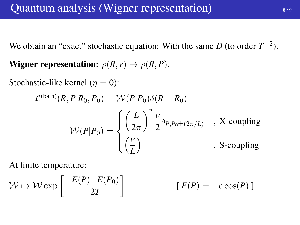We obtain an "exact" stochastic equation: With the same  $D$  (to order  $T^{-2}$ ).

Wigner representation:  $\rho(R,r) \rightarrow \rho(R,P)$ .

Stochastic-like kernel ( $\eta = 0$ ):

$$
\mathcal{L}^{(\text{bath})}(R, P|R_0, P_0) = \mathcal{W}(P|P_0)\delta(R - R_0)
$$

$$
\mathcal{W}(P|P_0) = \begin{cases} \left(\frac{L}{2\pi}\right)^2 \frac{\nu}{2} \delta_{P, P_0 \pm (2\pi/L)} & , \text{ X-coupling} \\ \left(\frac{\nu}{L}\right) & , \text{ S-coupling} \end{cases}
$$

At finite temperature:

$$
\mathcal{W} \mapsto \mathcal{W} \exp\left[-\frac{E(P) - E(P_0)}{2T}\right] \qquad \qquad [E(P) = -c\cos(P)]
$$